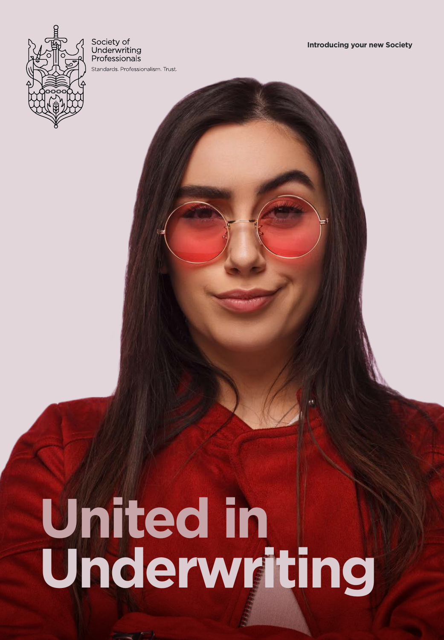

Society of Underwriting Professionals Standards Professionalism Trust

# **United in Underwriting**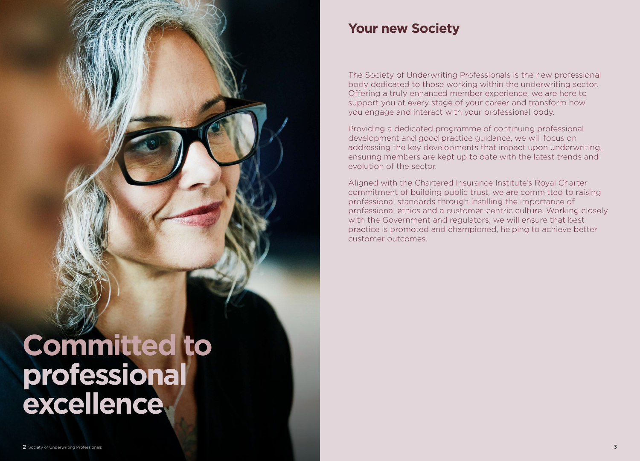# **Committed to professional excellence**

### **Your new Society**

The Society of Underwriting Professionals is the new professional body dedicated to those working within the underwriting sector. Offering a truly enhanced member experience, we are here to support you at every stage of your career and transform how you engage and interact with your professional body.

Providing a dedicated programme of continuing professional development and good practice guidance, we will focus on addressing the key developments that impact upon underwriting, ensuring members are kept up to date with the latest trends and evolution of the sector.

Aligned with the Chartered Insurance Institute's Royal Charter commitment of building public trust, we are committed to raising professional standards through instilling the importance of professional ethics and a customer-centric culture. Working closely with the Government and regulators, we will ensure that best practice is promoted and championed, helping to achieve better customer outcomes.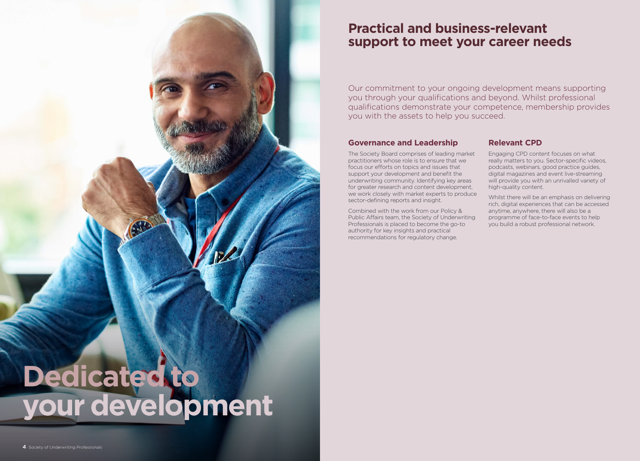

### **Practical and business-relevant support to meet your career needs**

Our commitment to your ongoing development means supporting you through your qualifications and beyond. Whilst professional qualifications demonstrate your competence, membership provides you with the assets to help you succeed.

#### **Governance and Leadership**

The Society Board comprises of leading market practitioners whose role is to ensure that we focus our efforts on topics and issues that support your development and benefit the underwriting community. Identifying key areas for greater research and content development, we work closely with market experts to produce sector-defining reports and insight.

Combined with the work from our Policy & Public Affairs team, the Society of Underwriting Professionals is placed to become the go-to authority for key insights and practical recommendations for regulatory change.

#### **Relevant CPD**

Engaging CPD content focuses on what really matters to you. Sector-specific videos, podcasts, webinars, good practice guides, digital magazines and event live-streaming will provide you with an unrivalled variety of high-quality content.

Whilst there will be an emphasis on delivering rich, digital experiences that can be accessed anytime, anywhere, there will also be a programme of face-to-face events to help you build a robust professional network.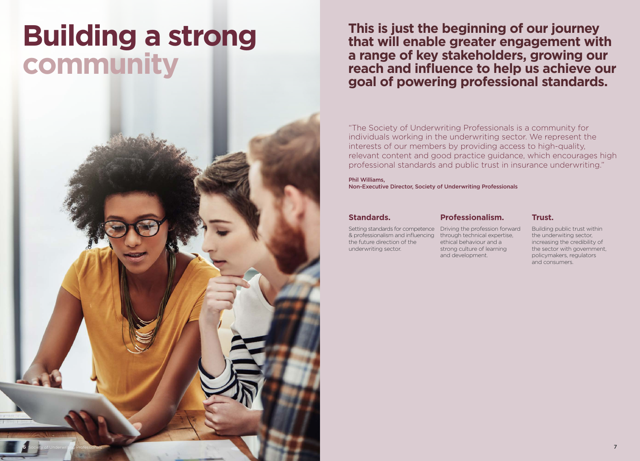## **Building a strong community**

6 Society of Underwriting Professionals **7** And the United States of Installer and the United States of Underwriting Professionals 7 And the United States of Underwriting Professionals 7

**This is just the beginning of our journey that will enable greater engagement with a range of key stakeholders, growing our reach and influence to help us achieve our goal of powering professional standards.**

"The Society of Underwriting Professionals is a community for individuals working in the underwriting sector. We represent the interests of our members by providing access to high-quality, relevant content and good practice guidance, which encourages high professional standards and public trust in insurance underwriting."

Phil Williams, Non-Executive Director, Society of Underwriting Professionals

#### **Standards.**

#### **Professionalism.**

Setting standards for competence Driving the profession forward & professionalism and influencing the future direction of the underwriting sector.

through technical expertise, ethical behaviour and a strong culture of learning and development.

#### **Trust.**

Building public trust within the underwiting sector, increasing the credibility of the sector with government, policymakers, regulators and consumers.